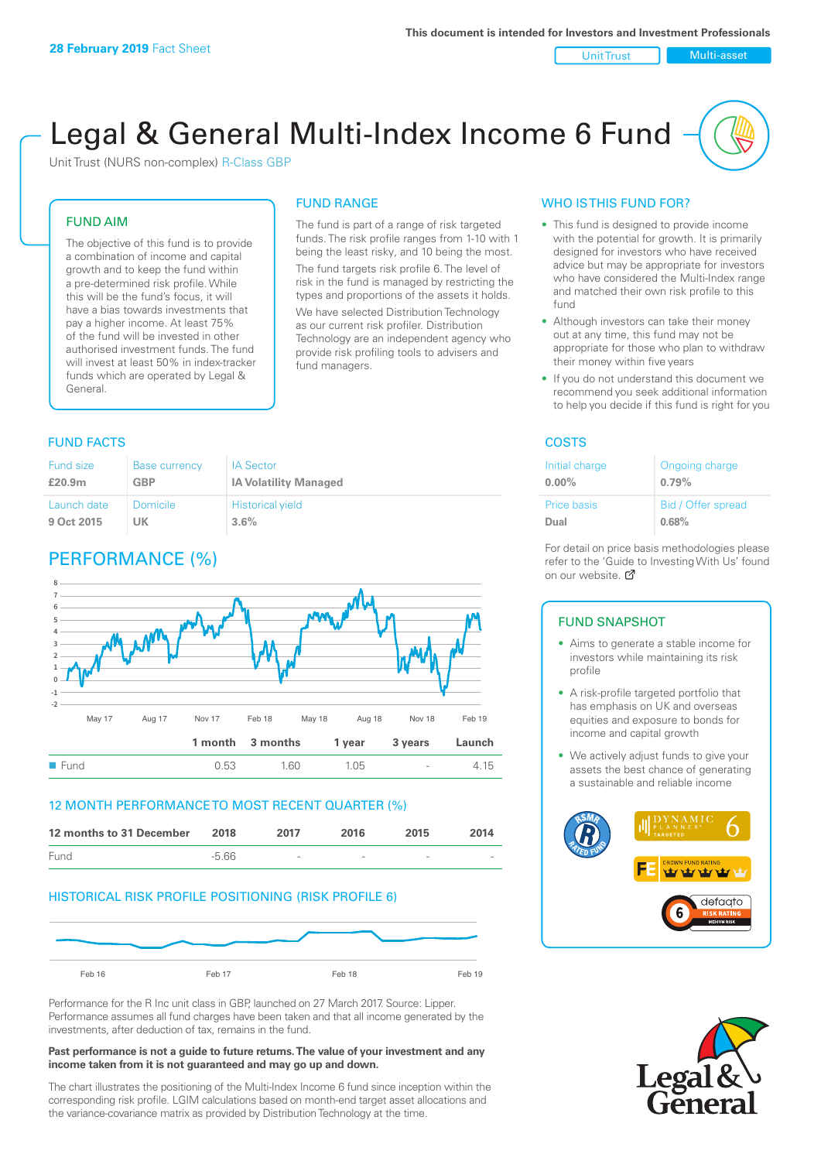#### Unit Trust Nulti-asset

# Legal & General Multi-Index Income 6 Fund

FUND RANGE

Unit Trust (NURS non-complex) R-Class GBP

## FUND AIM

The objective of this fund is to provide a combination of income and capital growth and to keep the fund within a pre-determined risk profile. While this will be the fund's focus, it will have a bias towards investments that pay a higher income. At least 75% of the fund will be invested in other authorised investment funds. The fund will invest at least 50% in index-tracker funds which are operated by Legal & General.

being the least risky, and 10 being the most. The fund targets risk profile 6. The level of risk in the fund is managed by restricting the types and proportions of the assets it holds.

The fund is part of a range of risk targeted funds. The risk profile ranges from 1-10 with 1

We have selected Distribution Technology as our current risk profiler. Distribution Technology are an independent agency who provide risk profiling tools to advisers and fund managers.

## **FUND FACTS** COSTS

| Fund size          | <b>Base currency</b> | <b>IA Sector</b>             |
|--------------------|----------------------|------------------------------|
| £20.9 <sub>m</sub> | GBP                  | <b>IA Volatility Managed</b> |
| Launch date        | Domicile             | <b>Historical yield</b>      |
| 9 Oct 2015         | UK                   | $3.6\%$                      |

## PERFORMANCE (%)



## 12 MONTH PERFORMANCE TO MOST RECENT QUARTER (%)



## HISTORICAL RISK PROFILE POSITIONING (RISK PROFILE 6)



Performance for the R Inc unit class in GBP, launched on 27 March 2017. Source: Lipper. Performance assumes all fund charges have been taken and that all income generated by the investments, after deduction of tax, remains in the fund.

#### **Past performance is not a guide to future returns. The value of your investment and any income taken from it is not guaranteed and may go up and down.**

The chart illustrates the positioning of the Multi-Index Income 6 fund since inception within the corresponding risk profile. LGIM calculations based on month-end target asset allocations and the variance-covariance matrix as provided by Distribution Technology at the time.

## WHO IS THIS FUND FOR?

- This fund is designed to provide income with the potential for growth. It is primarily designed for investors who have received advice but may be appropriate for investors who have considered the Multi-Index range and matched their own risk profile to this fund
- Although investors can take their money out at any time, this fund may not be appropriate for those who plan to withdraw their money within five years
- If you do not understand this document we recommend you seek additional information to help you decide if this fund is right for you

| Initial charge | Ongoing charge     |
|----------------|--------------------|
| $0.00\%$       | 0.79%              |
| Price basis    | Bid / Offer spread |
| Dual           | 0.68%              |

For detail on price basis methodologies please refer to the 'Guide to Investing With Us' found on our website. Ø

## FUND SNAPSHOT

- Aims to generate a stable income for investors while maintaining its risk profile
- A risk-profile targeted portfolio that has emphasis on UK and overseas equities and exposure to bonds for income and capital growth
- We actively adjust funds to give your assets the best chance of generating a sustainable and reliable income



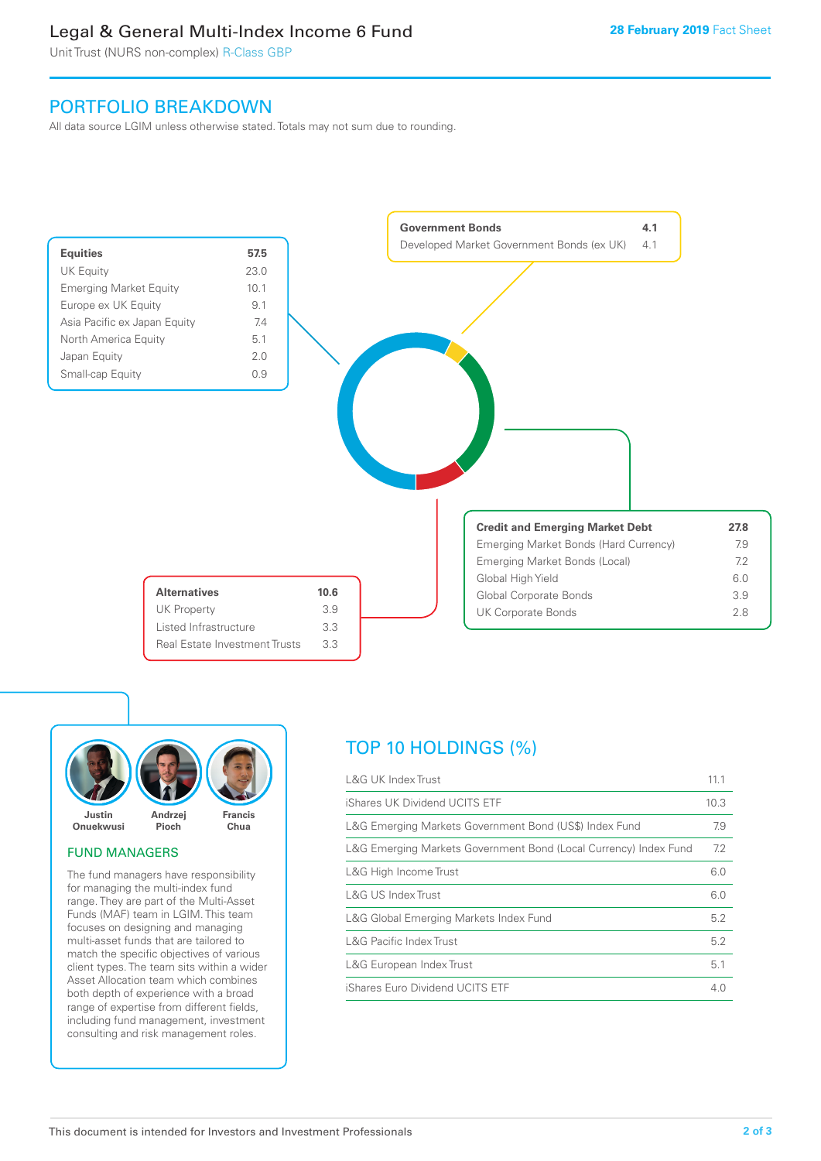## Legal & General Multi-Index Income 6 Fund

Unit Trust (NURS non-complex) R-Class GBP

## PORTFOLIO BREAKDOWN

All data source LGIM unless otherwise stated. Totals may not sum due to rounding.





## FUND MANAGERS

The fund managers have responsibility for managing the multi-index fund range. They are part of the Multi-Asset Funds (MAF) team in LGIM. This team focuses on designing and managing multi-asset funds that are tailored to match the specific objectives of various client types. The team sits within a wider Asset Allocation team which combines both depth of experience with a broad range of expertise from different fields, including fund management, investment consulting and risk management roles.

## TOP 10 HOLDINGS (%)

| <b>L&amp;G UK Index Trust</b>                                    | 11.1 |
|------------------------------------------------------------------|------|
| iShares UK Dividend UCITS ETF                                    | 10.3 |
| L&G Emerging Markets Government Bond (US\$) Index Fund           | 7.9  |
| L&G Emerging Markets Government Bond (Local Currency) Index Fund | 7.2  |
| L&G High Income Trust                                            | 6.0  |
| L&G US Index Trust                                               | 6.0  |
| L&G Global Emerging Markets Index Fund                           | 5.2  |
| <b>L&amp;G Pacific Index Trust</b>                               | 5.2  |
| L&G European Index Trust                                         | 5.1  |
| iShares Euro Dividend UCITS ETF                                  | 4.0  |